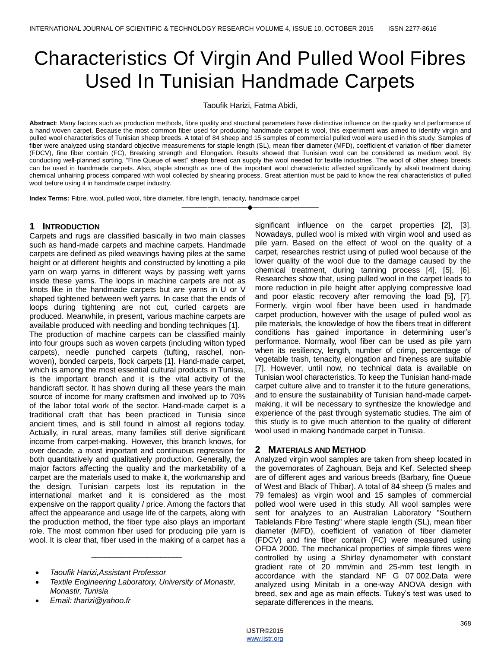# Characteristics Of Virgin And Pulled Wool Fibres Used In Tunisian Handmade Carpets

Taoufik Harizi, Fatma Abidi,

**Abstract**: Many factors such as production methods, fibre quality and structural parameters have distinctive influence on the quality and performance of a hand woven carpet. Because the most common fiber used for producing handmade carpet is wool, this experiment was aimed to identify virgin and pulled wool characteristics of Tunisian sheep breeds. A total of 84 sheep and 15 samples of commercial pulled wool were used in this study. Samples of fiber were analyzed using standard objective measurements for staple length (SL), mean fiber diameter (MFD), coefficient of variation of fiber diameter (FDCV), fine fiber contain (FC), Breaking strength and Elongation. Results showed that Tunisian wool can be considered as medium wool. By conducting well-planned sorting, "Fine Queue of west" sheep breed can supply the wool needed for textile industries. The wool of other sheep breeds can be used in handmade carpets. Also, staple strength as one of the important wool characteristic affected significantly by alkali treatment during chemical unhairing process compared with wool collected by shearing process. Great attention must be paid to know the real characteristics of pulled wool before using it in handmade carpet industry.

————————————————————

**Index Terms:** Fibre, wool, pulled wool, fibre diameter, fibre length, tenacity, handmade carpet

# **1 INTRODUCTION**

Carpets and rugs are classified basically in two main classes such as hand-made carpets and machine carpets. Handmade carpets are defined as piled weavings having piles at the same height or at different heights and constructed by knotting a pile yarn on warp yarns in different ways by passing weft yarns inside these yarns. The loops in machine carpets are not as knots like in the handmade carpets but are yarns in U or V shaped tightened between weft yarns. In case that the ends of loops during tightening are not cut, curled carpets are produced. Meanwhile, in present, various machine carpets are available produced with needling and bonding techniques [1].

The production of machine carpets can be classified mainly into four groups such as woven carpets (including wilton typed carpets), needle punched carpets (tufting, raschel, nonwoven), bonded carpets, flock carpets [1]. Hand-made carpet, which is among the most essential cultural products in Tunisia, is the important branch and it is the vital activity of the handicraft sector. It has shown during all these years the main source of income for many craftsmen and involved up to 70% of the labor total work of the sector. Hand-made carpet is a traditional craft that has been practiced in Tunisia since ancient times, and is still found in almost all regions today. Actually, in rural areas, many families still derive significant income from carpet-making. However, this branch knows, for over decade, a most important and continuous regression for both quantitatively and qualitatively production. Generally, the major factors affecting the quality and the marketability of a carpet are the materials used to make it, the workmanship and the design. Tunisian carpets lost its reputation in the international market and it is considered as the most expensive on the rapport quality / price. Among the factors that affect the appearance and usage life of the carpets, along with the production method, the fiber type also plays an important role. The most common fiber used for producing pile yarn is wool. It is clear that, fiber used in the making of a carpet has a

\_\_\_\_\_\_\_\_\_\_\_\_\_\_\_\_\_\_\_\_\_

significant influence on the carpet properties [2], [3]. Nowadays, pulled wool is mixed with virgin wool and used as pile yarn. Based on the effect of wool on the quality of a carpet, researches restrict using of pulled wool because of the lower quality of the wool due to the damage caused by the chemical treatment, during tanning process [4], [5], [6]. Researches show that, using pulled wool in the carpet leads to more reduction in pile height after applying compressive load and poor elastic recovery after removing the load [5], [7]. Formerly, virgin wool fiber have been used in handmade carpet production, however with the usage of pulled wool as pile materials, the knowledge of how the fibers treat in different conditions has gained importance in determining user's performance. Normally, wool fiber can be used as pile yarn when its resiliency, length, number of crimp, percentage of vegetable trash, tenacity, elongation and fineness are suitable [7]. However, until now, no technical data is available on Tunisian wool characteristics. To keep the Tunisian hand-made carpet culture alive and to transfer it to the future generations, and to ensure the sustainability of Tunisian hand-made carpetmaking, it will be necessary to synthesize the knowledge and experience of the past through systematic studies. The aim of this study is to give much attention to the quality of different wool used in making handmade carpet in Tunisia.

# **2 MATERIALS AND METHOD**

Analyzed virgin wool samples are taken from sheep located in the governorates of Zaghouan, Beja and Kef. Selected sheep are of different ages and various breeds (Barbary, fine Queue of West and Black of Thibar). A total of 84 sheep (5 males and 79 females) as virgin wool and 15 samples of commercial polled wool were used in this study. All wool samples were sent for analyzes to an Australian Laboratory "Southern Tablelands Fibre Testing" where staple length (SL), mean fiber diameter (MFD), coefficient of variation of fiber diameter (FDCV) and fine fiber contain (FC) were measured using OFDA 2000. The mechanical properties of simple fibres were controlled by using a Shirley dynamometer with constant gradient rate of 20 mm/min and 25-mm test length in accordance with the standard NF G 07 002.Data were analyzed using Minitab in a one-way ANOVA design with breed, sex and age as main effects. Tukey's test was used to separate differences in the means.

*Taoufik Harizi,Assistant Professor* 

*Textile Engineering Laboratory, University of Monastir, Monastir, Tunisia*

*Email: tharizi@yahoo.fr*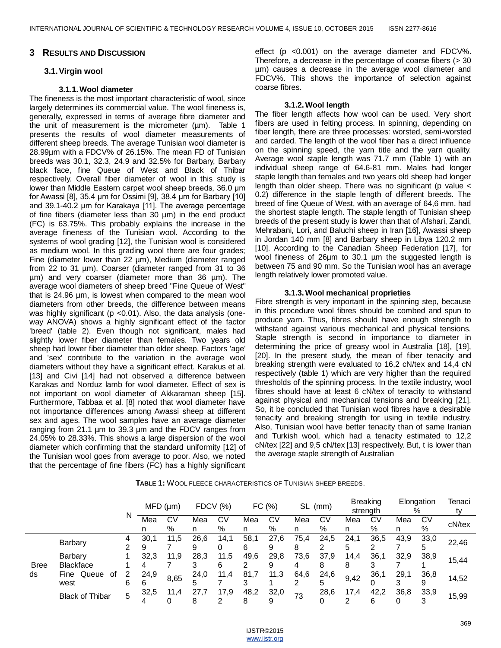#### **3 RESULTS AND DISCUSSION**

## **3.1.Virgin wool**

## **3.1.1.Wool diameter**

The fineness is the most important characteristic of wool, since largely determines its commercial value. The wool fineness is, generally, expressed in terms of average fibre diameter and the unit of measurement is the micrometer (um). Table 1 presents the results of wool diameter measurements of different sheep breeds. The average Tunisian wool diameter is 28.99µm with a FDCV% of 26.15%. The mean FD of Tunisian breeds was 30.1, 32.3, 24.9 and 32.5% for Barbary, Barbary black face, fine Queue of West and Black of Thibar respectively. Overall fiber diameter of wool in this study is lower than Middle Eastern carpet wool sheep breeds, 36.0 μm for Awassi [8], 35.4 μm for Ossimi [9], 38.4 μm for Barbary [10] and 39.1-40.2 μm for Karakaya [11]. The average percentage of fine fibers (diameter less than 30 µm) in the end product (FC) is 63.75%. This probably explains the increase in the average fineness of the Tunisian wool. According to the systems of wool grading [12], the Tunisian wool is considered as medium wool. In this grading wool there are four grades; Fine (diameter lower than 22 µm), Medium (diameter ranged from 22 to 31 µm), Coarser (diameter ranged from 31 to 36 µm) and very coarser (diameter more than 36 µm). The average wool diameters of sheep breed "Fine Queue of West" that is 24.96 µm, is lowest when compared to the mean wool diameters from other breeds, the difference between means was highly significant (p <0.01). Also, the data analysis (oneway ANOVA) shows a highly significant effect of the factor 'breed' (table 2). Even though not significant, males had slightly lower fiber diameter than females. Two years old sheep had lower fiber diameter than older sheep. Factors 'age' and 'sex' contribute to the variation in the average wool diameters without they have a significant effect. Karakus et al. [13] and Civi [14] had not observed a difference between Karakas and Norduz lamb for wool diameter. Effect of sex is not important on wool diameter of Akkaraman sheep [15]. Furthermore, Tabbaa et al. [8] noted that wool diameter have not importance differences among Awassi sheep at different sex and ages. The wool samples have an average diameter ranging from 21.1 µm to 39.3 µm and the FDCV ranges from 24.05% to 28.33%. This shows a large dispersion of the wool diameter which confirming that the standard uniformity [12] of the Tunisian wool goes from average to poor. Also, we noted that the percentage of fine fibers (FC) has a highly significant

effect (p <0.001) on the average diameter and FDCV%. Therefore, a decrease in the percentage of coarse fibers ( $>$  30 µm) causes a decrease in the average wool diameter and FDCV%. This shows the importance of selection against coarse fibres.

#### **3.1.2.Wool length**

The fiber length affects how wool can be used. Very short fibers are used in felting process. In spinning, depending on fiber length, there are three processes: worsted, semi-worsted and carded. The length of the wool fiber has a direct influence on the spinning speed, the yarn title and the yarn quality. Average wool staple length was 71.7 mm (Table 1) with an individual sheep range of 64.6-81 mm. Males had longer staple length than females and two years old sheep had longer length than older sheep. There was no significant (p value  $\lt$ 0.2) difference in the staple length of different breeds. The breed of fine Queue of West, with an average of 64,6 mm, had the shortest staple length. The staple length of Tunisian sheep breeds of the present study is lower than that of Afshari, Zandi, Mehrabani, Lori, and Baluchi sheep in Iran [16], Awassi sheep in Jordan 140 mm [8] and Barbary sheep in Libya 120.2 mm [10]. According to the Canadian Sheep Federation [17], for wool fineness of 26um to 30.1 um the suggested length is between 75 and 90 mm. So the Tunisian wool has an average length relatively lower promoted value.

## **3.1.3.Wool mechanical proprieties**

Fibre strength is very important in the spinning step, because in this procedure wool fibres should be combed and spun to produce yarn. Thus, fibres should have enough strength to withstand against various mechanical and physical tensions. Staple strength is second in importance to diameter in determining the price of greasy wool in Australia [18], [19], [20]. In the present study, the mean of fiber tenacity and breaking strength were evaluated to 16,2 cN/tex and 14,4 cN respectively (table 1) which are very higher than the required thresholds of the spinning process. In the textile industry, wool fibres should have at least 6 cN/tex of tenacity to withstand against physical and mechanical tensions and breaking [21]. So, it be concluded that Tunisian wool fibres have a desirable tenacity and breaking strength for using in textile industry. Also, Tunisian wool have better tenacity than of same Iranian and Turkish wool, which had a tenacity estimated to 12,2 cN/tex [22] and 9,5 cN/tex [13] respectively. But, t is lower than the average staple strength of Australian

**TABLE 1:** WOOL FLEECE CHARACTERISTICS OF TUNISIAN SHEEP BREEDS.

|                   |                             |        | MFD (µm)  |         | <b>FDCV (%)</b> |           | FC (%)    |           | SL (mm)   |           | <b>Breaking</b><br>strength |           | Elongation<br>% |           | Tenaci<br>tv |
|-------------------|-----------------------------|--------|-----------|---------|-----------------|-----------|-----------|-----------|-----------|-----------|-----------------------------|-----------|-----------------|-----------|--------------|
|                   |                             | N      | Mea<br>n  | C٧<br>% | Mea<br>n        | C٧<br>%   | Mea<br>n  | C٧<br>%   | Mea<br>n  | СV<br>%   | Mea<br>n                    | СV<br>%   | Mea<br>n        | CV<br>%   | cN/tex       |
| <b>Bree</b><br>ds | Barbary                     | 4<br>◠ | 30,1<br>9 | 11,5    | 26,6<br>9       | 14,1      | 58,1<br>6 | 27,6<br>9 | 75,4<br>8 | 24,5      | 24,1<br>5                   | 36,5      | 43,9            | 33,0<br>5 | 22,46        |
|                   | Barbary<br><b>Blackface</b> |        | 32,3      | 11,9    | 28,3            | 11,5<br>6 | 49,6      | 29,8<br>9 | 73,6<br>4 | 37,9<br>8 | 14,4<br>8                   | 36,1      | 32,9            | 38,9      | 15.44        |
|                   | Queue<br>оf<br>Fine<br>west | 6      | 24,9<br>6 | 8,65    | 24,0<br>5       | 11,4      | 81,7      | 11,3      | 64,6      | 24,6      | 9,42                        | 36,1      | 29,1            | 36,8<br>9 | 14,52        |
|                   | <b>Black of Thibar</b>      | 5      | 32,5      | 11.4    | 27.7<br>8       | 17,9      | 48,2<br>8 | 32,0<br>9 | 73        | 28,6      | 17,4                        | 42,2<br>6 | 36,8            | 33,9      | 15,99        |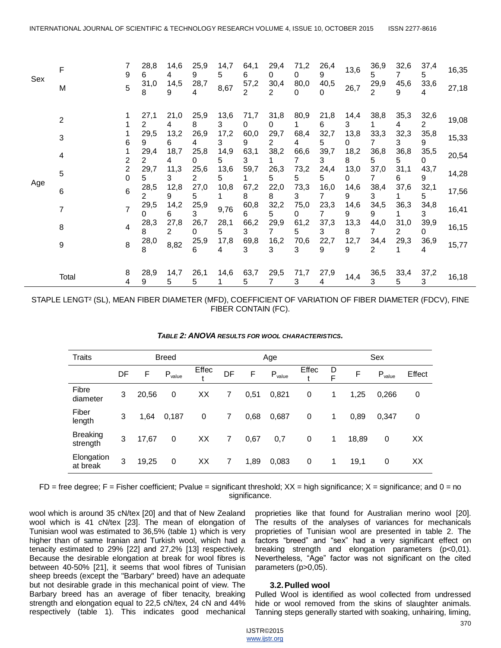| Sex | F              |        | 28,8<br>6 | 14,6<br>4  | 25,9<br>9 | 14,7<br>5  | 64,1<br>6              | 29,4<br>0              | 71,2<br>0 | 26,4<br>9 | 13,6       | 36,9<br>5              | 32,6<br>7              | 37,4<br>5        | 16,35 |
|-----|----------------|--------|-----------|------------|-----------|------------|------------------------|------------------------|-----------|-----------|------------|------------------------|------------------------|------------------|-------|
|     | М              | 5      | 31,0<br>8 | 14,5<br>9  | 28,7      | 8,67       | 57,2<br>$\overline{2}$ | 30,4<br>2              | 80,0<br>0 | 40,5<br>0 | 26,7       | 29,9<br>$\overline{2}$ | 45,6<br>9              | 33,6<br>4        | 27,18 |
|     | $\overline{2}$ |        | 27,1<br>2 | 21,0       | 25,9<br>8 | 13,6<br>3  | 71,7<br>0              | 31,8<br>0              | 80,9      | 21,8<br>6 | 14,4<br>3. | 38,8                   | 35,3<br>4              | 32,6<br>2        | 19,08 |
|     | 3              | h      | 29,5<br>9 | 13,2<br>6  | 26,9      | 17,2<br>3  | 60,0<br>9              | 29,7<br>$\overline{2}$ | 68,4<br>4 | 32,7<br>5 | 13,8<br>0  | 33,3<br>7              | 32,3<br>3              | 35,8<br>9        | 15,33 |
|     | 4              |        | 29,4<br>2 | 18,7<br>4  | 25,8<br>0 | 14,9<br>5. | 63,1<br>3              | 38,2<br>1.             | 66,6<br>7 | 39,7<br>3 | 18,2<br>8  | 36,8<br>5              | 36,8<br>5              | 35,5<br>$\Omega$ | 20,54 |
|     | 5              | 2<br>0 | 29,7<br>5 | 11,3<br>3  | 25,6<br>2 | 13,6<br>5  | 59,7                   | 26,3<br>5              | 73,2<br>5 | 24,4<br>5 | 13,0<br>0  | 37,0<br>7              | 31,1<br>6              | 43,7<br>9        | 14,28 |
| Age | 6              | 6      | 28,5<br>2 | 12,8<br>9  | 27,0<br>5 | 10,8       | 67,2<br>8              | 22,0<br>8              | 73,3<br>3 | 16,0      | 14,6<br>9  | 38,4<br>3              | 37,6                   | 32,1<br>5        | 17,56 |
|     |                |        | 29,5<br>0 | 14,2<br>6. | 25,9<br>3 | 9,76       | 60,8<br>6              | 32,2<br>5              | 75,0<br>0 | 23,3<br>7 | 14,6<br>9  | 34,5<br>9              | 36,3                   | 34,8<br>3        | 16,41 |
|     | 8              | 4      | 28,3<br>8 | 27,8<br>2  | 26,7<br>0 | 28,1<br>5. | 66,2<br>3              | 29,9<br>7              | 61,2<br>5 | 37,3<br>3 | 13,3<br>8  | 44,0                   | 31,0<br>$\overline{2}$ | 39,9<br>$\Omega$ | 16,15 |
|     | 9              | 8      | 28,0<br>8 | 8,82       | 25,9<br>6 | 17,8<br>4  | 69,8<br>3              | 16,2<br>3              | 70,6<br>3 | 22,7<br>9 | 12,7<br>9  | 34,4<br>2              | 29,3                   | 36,9<br>4        | 15,77 |
|     |                |        |           |            |           |            |                        |                        |           |           |            |                        |                        |                  |       |
|     | Total          | 8<br>4 | 28,9<br>9 | 14,7<br>5. | 26,1<br>5 | 14,6       | 63,7<br>5              | 29,5<br>7              | 71,7<br>3 | 27,9<br>4 | 14,4       | 36,5<br>3              | 33,4<br>5              | 37,2<br>3        | 16,18 |

STAPLE LENGT² (SL), MEAN FIBER DIAMETER (MFD), COEFFICIENT OF VARIATION OF FIBER DIAMETER (FDCV), FINE FIBER CONTAIN (FC).

| <b>Traits</b>               |    |       | <b>Breed</b> |       |                |      | Age         |             | Sex    |       |             |        |
|-----------------------------|----|-------|--------------|-------|----------------|------|-------------|-------------|--------|-------|-------------|--------|
|                             | DF | F     | $P_{value}$  | Effec | DF             | F    | $P_{value}$ | Effec       | D<br>F | F     | $P_{value}$ | Effect |
| Fibre<br>diameter           | 3  | 20,56 | 0            | ХX    | 7              | 0,51 | 0,821       | 0           | 1      | 1,25  | 0,266       | 0      |
| Fiber<br>length             | 3  | 1,64  | 0,187        | 0     | 7              | 0,68 | 0,687       | 0           | 1      | 0,89  | 0,347       | 0      |
| <b>Breaking</b><br>strength | 3  | 17.67 | 0            | XX    | $\overline{7}$ | 0,67 | 0,7         | $\mathbf 0$ | 1      | 18,89 | $\mathbf 0$ | XX     |
| Elongation<br>at break      | 3  | 19,25 | 0            | XX    | 7              | 1,89 | 0,083       | 0           | 1      | 19,1  | 0           | XX     |

 $FD$  = free degree;  $F$  = Fisher coefficient; Pvalue = significant threshold;  $XX$  = high significance;  $X$  = significance; and 0 = no significance.

wool which is around 35 cN/tex [20] and that of New Zealand wool which is 41 cN/tex [23]. The mean of elongation of Tunisian wool was estimated to 36,5% (table 1) which is very higher than of same Iranian and Turkish wool, which had a tenacity estimated to 29% [22] and 27,2% [13] respectively. Because the desirable elongation at break for wool fibres is between 40-50% [21], it seems that wool fibres of Tunisian sheep breeds (except the "Barbary" breed) have an adequate but not desirable grade in this mechanical point of view. The Barbary breed has an average of fiber tenacity, breaking strength and elongation equal to 22,5 cN/tex, 24 cN and 44% respectively (table 1). This indicates good mechanical

proprieties like that found for Australian merino wool [20]. The results of the analyses of variances for mechanicals proprieties of Tunisian wool are presented in table 2. The factors "breed" and "sex" had a very significant effect on breaking strength and elongation parameters (p<0,01). Nevertheless, "Age" factor was not significant on the cited parameters (p>0,05).

## **3.2.Pulled wool**

Pulled Wool is identified as wool collected from undressed hide or wool removed from the skins of slaughter animals. Tanning steps generally started with soaking, unhairing, liming,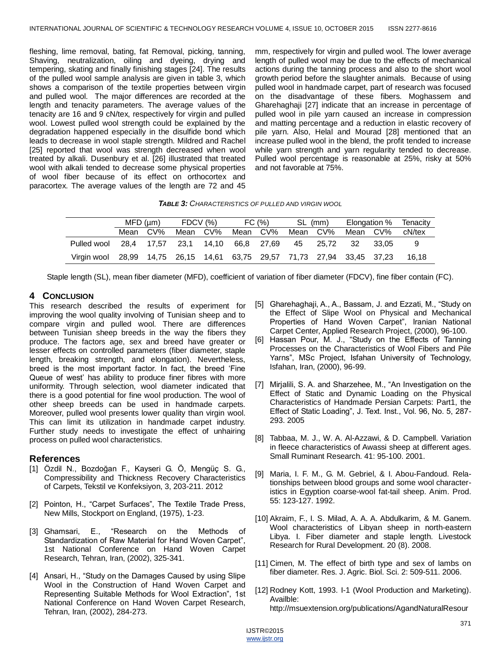fleshing, lime removal, bating, fat Removal, picking, tanning, Shaving, neutralization, oiling and dyeing, drying and tempering, skating and finally finishing stages [24]. The results of the pulled wool sample analysis are given in table 3, which shows a comparison of the textile properties between virgin and pulled wool. The major differences are recorded at the length and tenacity parameters. The average values of the tenacity are 16 and 9 cN/tex, respectively for virgin and pulled wool. Lowest pulled wool strength could be explained by the degradation happened especially in the disulfide bond which leads to decrease in wool staple strength. Mildred and Rachel [25] reported that wool was strength decreased when wool treated by alkali. Dusenbury et al. [26] illustrated that treated wool with alkali tended to decrease some physical properties of wool fiber because of its effect on orthocortex and paracortex. The average values of the length are 72 and 45

mm, respectively for virgin and pulled wool. The lower average length of pulled wool may be due to the effects of mechanical actions during the tanning process and also to the short wool growth period before the slaughter animals. Because of using pulled wool in handmade carpet, part of research was focused on the disadvantage of these fibers. Moghassem and Gharehaghaji [27] indicate that an increase in percentage of pulled wool in pile yarn caused an increase in compression and matting percentage and a reduction in elastic recovery of pile yarn. Also, Helal and Mourad [28] mentioned that an increase pulled wool in the blend, the profit tended to increase while yarn strength and yarn regularity tended to decrease. Pulled wool percentage is reasonable at 25%, risky at 50% and not favorable at 75%.

## *TABLE 3: CHARACTERISTICS OF PULLED AND VIRGIN WOOL*

|             | $MFD$ ( $µm$ )                                              |     | FDCV (%)              |     | FC (%)   |            |      | SL (mm) | Elongation % |       | Tenacity |
|-------------|-------------------------------------------------------------|-----|-----------------------|-----|----------|------------|------|---------|--------------|-------|----------|
|             | Mean                                                        | CV% | Mean                  | CV% | Mean CV% |            | Mean | CV%     | Mean CV%     |       | cN/tex   |
| Pulled wool |                                                             |     | 28.4 17.57 23.1 14.10 |     |          | 66.8 27.69 | 45   | 25.72   | - 32         | 33.05 |          |
| Virgin wool | 28,99 14,75 26,15 14,61 63,75 29,57 71,73 27,94 33,45 37,23 |     |                       |     |          |            |      |         |              |       | 16.18    |

Staple length (SL), mean fiber diameter (MFD), coefficient of variation of fiber diameter (FDCV), fine fiber contain (FC).

# **4 CONCLUSION**

This research described the results of experiment for improving the wool quality involving of Tunisian sheep and to compare virgin and pulled wool. There are differences between Tunisian sheep breeds in the way the fibers they produce. The factors age, sex and breed have greater or lesser effects on controlled parameters (fiber diameter, staple length, breaking strength, and elongation). Nevertheless, breed is the most important factor. In fact, the breed 'Fine Queue of west' has ability to produce finer fibres with more uniformity. Through selection, wool diameter indicated that there is a good potential for fine wool production. The wool of other sheep breeds can be used in handmade carpets. Moreover, pulled wool presents lower quality than virgin wool. This can limit its utilization in handmade carpet industry. Further study needs to investigate the effect of unhairing process on pulled wool characteristics.

# **References**

- [1] Özdil N., Bozdoğan F., Kayseri G. Ö, Mengüç S. G., Compressibility and Thickness Recovery Characteristics of Carpets, Tekstil ve Konfeksiyon, 3, 203-211. 2012
- [2] Pointon, H., "Carpet Surfaces", The Textile Trade Press, New Mills, Stockport on England, (1975), 1-23.
- [3] Ghamsari, E., "Research on the Methods of Standardization of Raw Material for Hand Woven Carpet", 1st National Conference on Hand Woven Carpet Research, Tehran, Iran, (2002), 325-341.
- [4] Ansari, H., "Study on the Damages Caused by using Slipe Wool in the Construction of Hand Woven Carpet and Representing Suitable Methods for Wool Extraction", 1st National Conference on Hand Woven Carpet Research, Tehran, Iran, (2002), 284-273.
- [5] Gharehaghaji, A., A., Bassam, J. and Ezzati, M., "Study on the Effect of Slipe Wool on Physical and Mechanical Properties of Hand Woven Carpet", Iranian National Carpet Center, Applied Research Project, (2000), 96-100.
- [6] Hassan Pour, M. J., "Study on the Effects of Tanning Processes on the Characteristics of Wool Fibers and Pile Yarns", MSc Project, Isfahan University of Technology, Isfahan, Iran, (2000), 96-99.
- [7] Mirjalili, S. A. and Sharzehee, M., "An Investigation on the Effect of Static and Dynamic Loading on the Physical Characteristics of Handmade Persian Carpets: Part1, the Effect of Static Loading", J. Text. Inst., Vol. 96, No. 5, 287-293. 2005
- [8] Tabbaa, M. J., W. A. Al-Azzawi, & D. Campbell. Variation in fleece characteristics of Awassi sheep at different ages. Small Ruminant Research. 41: 95-100. 2001.
- [9] Maria, I. F. M., G. M. Gebriel, & I. Abou-Fandoud. Relationships between blood groups and some wool characteristics in Egyption coarse-wool fat-tail sheep. Anim. Prod. 55: 123-127. 1992.
- [10] Akraim, F., I. S. Milad, A. A. A. Abdulkarim, & M. Ganem. Wool characteristics of Libyan sheep in north-eastern Libya. I. Fiber diameter and staple length. Livestock Research for Rural Development. 20 (8). 2008.
- [11] Cimen, M. The effect of birth type and sex of lambs on fiber diameter. Res. J. Agric. Biol. Sci. 2: 509-511. 2006.
- [12] Rodney Kott, 1993. I-1 (Wool Production and Marketing). [Availble:](http://msuextension.org/publications/AgandNaturalResources/MT198380AG.pdf)

[http://msuextension.org/publications/AgandNaturalResour](http://msuextension.org/publications/AgandNaturalResources/MT198380AG.pdf)